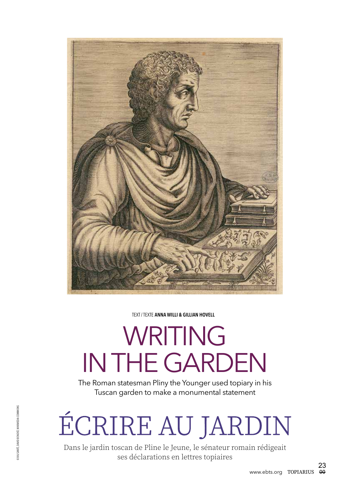

TEXT / TEXTE **ANNA WILLI & GILLIAN HOVELL**

## WRITING IN THE GARDEN

The Roman statesman Pliny the Younger used topiary in his Tuscan garden to make a monumental statement

# ÉCRIRE AU JARDIN

Dans le jardin toscan de Pline le Jeune, le sénateur romain rédigeait ses déclarations en lettres topiaires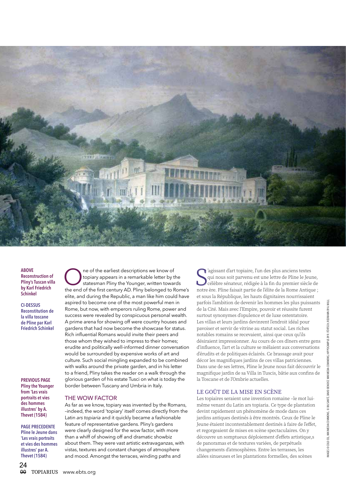

**ABOVE Reconstruction of Pliny's Tuscan villa by Karl Friedrich Schinkel** 

**CI-DESSUS Reconstitution de la villa toscane de Pline par Karl Friedrich Schinkel**

**PREVIOUS PAGE Pliny the Younger from 'Les vrais portraits et vies des hommes illustres' by A. Thevet (1584)** 

**PAGE PRECEDENTE Pline le Jeune dans 'Les vrais portraits et vies des hommes illustres' par A. Thevet (1584)**

The of the earliest descriptions we know of<br>
statesman Pliny the Younger, written towards<br>
the end of the first century AD. Pliny belonged to Rom topiary appears in a remarkable letter by the the end of the first century AD. Pliny belonged to Rome's elite, and during the Republic, a man like him could have aspired to become one of the most powerful men in Rome, but now, with emperors ruling Rome, power and success were revealed by conspicuous personal wealth. A prime arena for showing off were country houses and gardens that had now become the showcase for status. Rich influential Romans would invite their peers and those whom they wished to impress to their homes; erudite and politically well-informed dinner conversation would be surrounded by expensive works of art and culture. Such social mingling expanded to be combined with walks around the private garden, and in his letter to a friend, Pliny takes the reader on a walk through the glorious garden of his estate Tusci on what is today the border between Tuscany and Umbria in Italy.

THE WOW FACTOR

As far as we know, topiary was invented by the Romans, –indeed, the word 'topiary' itself comes directly from the Latin *ars topiaria* and it quickly became a fashionable feature of representative gardens. Pliny's gardens were clearly designed for the wow factor, with more than a whiff of showing off and dramatic showbiz about them. They were vast artistic extravaganzas, with vistas, textures and constant changes of atmosphere and mood. Amongst the terraces, winding paths and

C'agissant d'art topiaire, l'un des plus anciens textes<br>qui nous soit parvenu est une lettre de Pline le Jeune,<br>célèbre sénateur, rédigée à la fin du premier siècle de<br>notre ère. Pline faisait partie de l'élite de la Rome 'agissant d'art topiaire, l'un des plus anciens textes qui nous soit parvenu est une lettre de Pline le Jeune, célèbre sénateur, rédigée à la fin du premier siècle de et sous la République, les hauts dignitaires nourrissaient parfois l'ambition de devenir les hommes les plus puissants de la Cité. Mais avec l'Empire, pouvoir et réussite furent surtout synonymes d'opulence et de luxe ostentatoire. Les villas et leurs jardins devinrent l'endroit idéal pour pavoiser et servir de vitrine au statut social. Les riches notables romains se recevaient, ainsi que ceux qu'ils désiraient impressionner. Au cours de ces dîners entre gens d'influence, l'art et la culture se mêlaient aux conversations d'érudits et de politiques éclairés. Ce brassage avait pour décor les magnifiques jardins de ces villas patriciennes. Dans une de ses lettres, Pline le Jeune nous fait découvrir le magnifique jardin de sa Villa in Tuscis, bâtie aux confins de la Toscane et de l'Ombrie actuelles.

#### LE GOÛT DE LA MISE EN SCÈNE

Les topiaires seraient une invention romaine –le mot luimême venant du Latin ars topiaria. Ce type de plantation devint rapidement un phénomène de mode dans ces jardins antiques destinés à être montrés. Ceux de Pline le Jeune étaient incontestablement destinés à faire de l'effet, et regorgeaient de mises en scène spectaculaires. On y découvre un somptueux déploiement d'effets artistique,s de panoramas et de textures variées, de perpétuels changements d'atmosphères. Entre les terrasses, les allées sinueuses et les plantations formelles, des scènes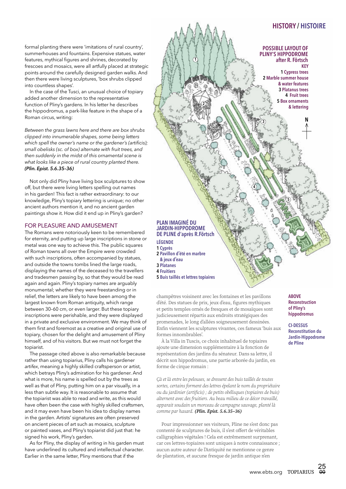### **HISTORY / HISTOIRE**

formal planting there were 'imitations of rural country', summerhouses and fountains. Expensive statues, water features, mythical figures and shrines, decorated by frescoes and mosaics, were all artfully placed at strategic points around the carefully designed garden walks. And then there were living sculptures, 'box shrubs clipped into countless shapes'.

In the case of the Tusci, an unusual choice of topiary added another dimension to the representative function of Pliny's gardens. In his letter he describes the hippodromus, a park-like feature in the shape of a Roman circus, writing:

*Between the grass lawns here and there are box shrubs clipped into innumerable shapes, some being letters which spell the owner's name or the gardener's (artificis); small obelisks (sc. of box) alternate with fruit trees, and then suddenly in the midst of this ornamental scene is what looks like a piece of rural country planted there. (Plin. Epist. 5.6.35–36)*

Not only did Pliny have living box sculptures to show off, but there were living letters spelling out names in his garden! This fact is rather extraordinary: to our knowledge, Pliny's topiary lettering is unique; no other ancient authors mention it, and no ancient garden paintings show it. How did it end up in Pliny's garden?

#### FOR PLEASURE AND AMUSEMENT

The Romans were notoriously keen to be remembered for eternity, and putting up large inscriptions in stone or metal was one way to achieve this. The public squares of Roman towns all over the Empire were crowded with such inscriptions, often accompanied by statues, and outside the towns tombs lined the large roads, displaying the names of the deceased to the travellers and tradesmen passing by, so that they would be read again and again. Pliny's topiary names are arguably monumental; whether they were freestanding or in relief, the letters are likely to have been among the largest known from Roman antiquity, which range between 30–60 cm, or even larger. But these topiary inscriptions were perishable, and they were displayed in a private and exclusive environment. We may think of them first and foremost as a creative and original use of topiary, chosen for the delight and amusement of Pliny himself, and of his visitors. But we must not forget the topiarist.

The passage cited above is also remarkable because rather than using topiarius, Pliny calls his gardener *artifex*, meaning a highly skilled craftsperson or artist, which betrays Pliny's admiration for his gardener. And what is more, his name is spelled out by the trees as well as that of Pliny, putting him on a par visually, in a less than subtle way. It is reasonable to assume that the topiarist was able to read and write, as this would have often been the case with highly skilled craftsmen, and it may even have been his idea to display names in the garden. Artists' signatures are often preserved on ancient pieces of art such as mosaics, sculpture or painted vases, and Pliny's topiarist did just that: he signed his work, Pliny's garden.

As for Pliny, the display of writing in his garden must have underlined its cultured and intellectual character. Earlier in the same letter, Pliny mentions that if the



champêtres voisinent avec les fontaines et les pavillons d'été. Des statues de prix, jeux d'eau, figures mythiques et petits temples ornés de fresques et de mosaïques sont judicieusement répartis aux endroits stratégiques des promenades, le long d'allées soigneusement dessinées. Enfin viennent les sculptures vivantes, ces fameux 'buis aux formes innombrables'.

À la Villa in Tuscis, ce choix inhabituel de topiaires ajoute une dimension supplémentaire à la fonction de représentation des jardins du sénateur. Dans sa lettre, il décrit son hippodromus, une partie arborée du jardin, en forme de cirque romain :

*Çà et là entre les pelouses, se dressent des buis taillés de toutes sortes, certains forment des lettres épelant le nom du propriétaire ou du jardinier (artificis) ; de petits obélisques (topiaires de buis) alternent avec des fruitiers. Au beau milieu de ce décor travaillé, apparait soudain un morceau de campagne sauvage, planté là comme par hasard. (Plin. Epist. 5.6.35–36)*

Pour impressionner ses visiteurs, Pline ne s'est donc pas contenté de sculptures de buis, il s'est offert de véritables calligraphies végétales ! Cela est extrêmement surprenant, car ces lettres-topiaires sont uniques à notre connaissance ; aucun autre auteur de l'Antiquité ne mentionne ce genre de plantation, et aucune fresque de jardin antique n'en

#### **ABOVE Reconstruction of Pliny's hippodromus**

**CI-DESSUS Reconstitution du Jardin-Hippodrome de Pline**